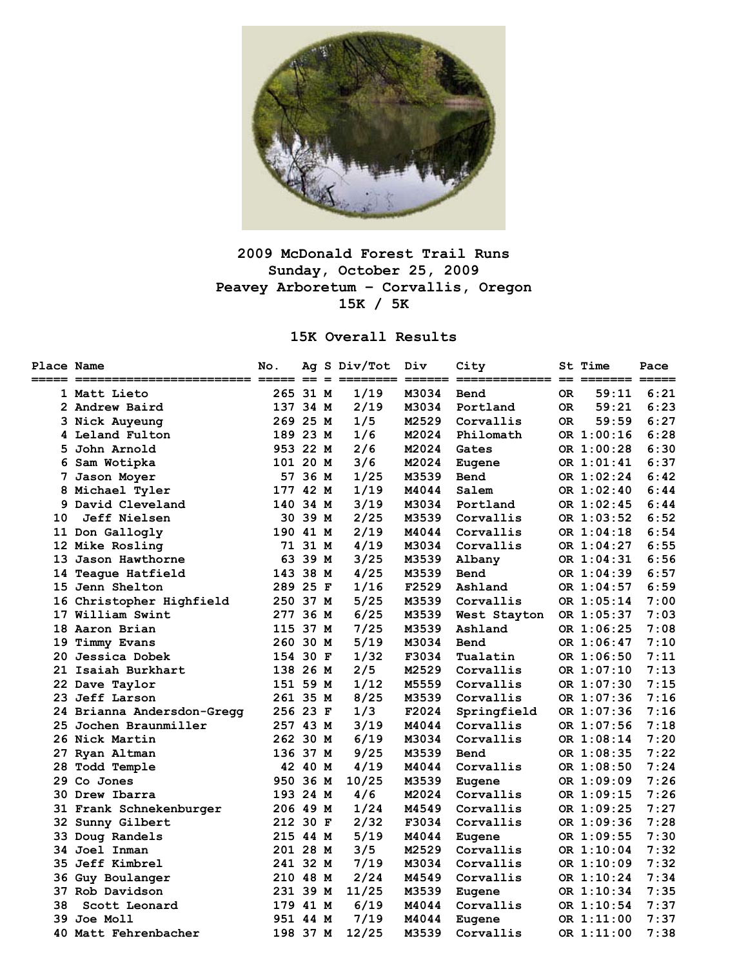

# **2009 McDonald Forest Trail Runs Sunday, October 25, 2009 Peavey Arboretum – Corvallis, Oregon 15K / 5K**

## **15K Overall Results**

| <b>Place Name</b> |                            | No.                             |         |     | Ag S Div/Tot | Div              | City         |     | <b>St Time</b> | Pace |
|-------------------|----------------------------|---------------------------------|---------|-----|--------------|------------------|--------------|-----|----------------|------|
|                   | 1 Matt Lieto               | $=$ $=$ $=$ $=$ $=$<br>265 31 M |         | $=$ | 1/19         | ==== =:<br>M3034 | Bend         | 0R  | 59:11          | 6:21 |
|                   | 2 Andrew Baird             | 137 34 M                        |         |     | 2/19         | M3034            | Portland     | 0R  | 59:21          | 6:23 |
|                   | 3 Nick Auyeung             | 269 25 M                        |         |     | 1/5          | M2529            | Corvallis    | OR. | 59:59          | 6:27 |
|                   | 4 Leland Fulton            | 189 23 M                        |         |     | 1/6          | M2024            | Philomath    |     | OR 1:00:16     | 6:28 |
|                   | 5 John Arnold              | 953 22 M                        |         |     | 2/6          | M2024            | Gates        |     | OR 1:00:28     | 6:30 |
|                   | 6 Sam Wotipka              | 101 20 M                        |         |     | 3/6          | M2024            | Eugene       |     | OR 1:01:41     | 6:37 |
|                   | 7 Jason Moyer              |                                 | 57 36 M |     | 1/25         | M3539            | Bend         |     | OR 1:02:24     | 6:42 |
|                   | 8 Michael Tyler            | 177 42 M                        |         |     | 1/19         | M4044            | Salem        |     | OR 1:02:40     | 6:44 |
|                   | 9 David Cleveland          | 140 34 M                        |         |     | 3/19         | M3034            | Portland     |     | OR 1:02:45     | 6:44 |
| 10                | <b>Jeff Nielsen</b>        |                                 | 30 39 M |     | 2/25         | M3539            | Corvallis    |     | OR 1:03:52     | 6:52 |
|                   | 11 Don Gallogly            | 190 41 M                        |         |     | 2/19         | M4044            | Corvallis    |     | OR 1:04:18     | 6:54 |
|                   | 12 Mike Rosling            |                                 | 71 31 M |     | 4/19         | M3034            | Corvallis    |     | OR 1:04:27     | 6:55 |
|                   | 13 Jason Hawthorne         |                                 | 63 39 M |     | 3/25         | M3539            | Albany       |     | OR 1:04:31     | 6:56 |
|                   | 14 Teague Hatfield         | 143 38 M                        |         |     | 4/25         | M3539            | Bend         |     | OR 1:04:39     | 6:57 |
|                   | 15 Jenn Shelton            | 289 25 F                        |         |     | 1/16         | F2529            | Ashland      |     | OR 1:04:57     | 6:59 |
|                   | 16 Christopher Highfield   | 250 37 M                        |         |     | 5/25         | M3539            | Corvallis    |     | OR 1:05:14     | 7:00 |
|                   | 17 William Swint           | 277 36 M                        |         |     | 6/25         | M3539            | West Stayton |     | OR 1:05:37     | 7:03 |
|                   | 18 Aaron Brian             | 115 37 M                        |         |     | 7/25         | M3539            | Ashland      |     | OR 1:06:25     | 7:08 |
| 19                | Timmy Evans                | 260 30 M                        |         |     | 5/19         | M3034            | Bend         |     | OR 1:06:47     | 7:10 |
|                   | 20 Jessica Dobek           | 154 30 F                        |         |     | 1/32         | F3034            | Tualatin     |     | OR 1:06:50     | 7:11 |
|                   | 21 Isaiah Burkhart         | 138 26 M                        |         |     | 2/5          | M2529            | Corvallis    |     | OR 1:07:10     | 7:13 |
|                   | 22 Dave Taylor             | 151 59 M                        |         |     | 1/12         | M5559            | Corvallis    |     | OR 1:07:30     | 7:15 |
|                   | 23 Jeff Larson             | 261 35 M                        |         |     | 8/25         | M3539            | Corvallis    |     | OR 1:07:36     | 7:16 |
|                   | 24 Brianna Andersdon-Gregg | 256 23 F                        |         |     | 1/3          | F2024            | Springfield  |     | OR 1:07:36     | 7:16 |
|                   | 25 Jochen Braunmiller      | 257 43 M                        |         |     | 3/19         | M4044            | Corvallis    |     | OR 1:07:56     | 7:18 |
|                   | 26 Nick Martin             | 262 30 M                        |         |     | 6/19         | M3034            | Corvallis    |     | OR 1:08:14     | 7:20 |
|                   | 27 Ryan Altman             | 136 37 M                        |         |     | 9/25         | M3539            | Bend         |     | OR 1:08:35     | 7:22 |
| 28.               | Todd Temple                |                                 | 42 40 M |     | 4/19         | M4044            | Corvallis    |     | OR 1:08:50     | 7:24 |
|                   | 29 Co Jones                | 950 36 M                        |         |     | 10/25        | M3539            | Eugene       |     | OR 1:09:09     | 7:26 |
|                   | 30 Drew Ibarra             | 193 24 M                        |         |     | 4/6          | M2024            | Corvallis    |     | OR 1:09:15     | 7:26 |
|                   | 31 Frank Schnekenburger    | 206 49 M                        |         |     | 1/24         | M4549            | Corvallis    |     | OR 1:09:25     | 7:27 |
|                   | 32 Sunny Gilbert           | 212 30 F                        |         |     | 2/32         | F3034            | Corvallis    |     | OR 1:09:36     | 7:28 |
|                   | 33 Doug Randels            | 215 44 M                        |         |     | 5/19         | M4044            | Eugene       |     | OR 1:09:55     | 7:30 |
|                   | 34 Joel Inman              | 201 28 M                        |         |     | 3/5          | M2529            | Corvallis    |     | OR 1:10:04     | 7:32 |
|                   | 35 Jeff Kimbrel            | 241 32 M                        |         |     | 7/19         | M3034            | Corvallis    |     | OR 1:10:09     | 7:32 |
|                   | 36 Guy Boulanger           | 210 48 M                        |         |     | 2/24         | M4549            | Corvallis    |     | OR 1:10:24     | 7:34 |
|                   | 37 Rob Davidson            | 231 39 M                        |         |     | 11/25        | M3539            | Eugene       |     | OR 1:10:34     | 7:35 |
| 38                | Scott Leonard              | 179 41 M                        |         |     | 6/19         | M4044            | Corvallis    |     | OR 1:10:54     | 7:37 |
|                   | <b>39 Joe Moll</b>         | 951 44 M                        |         |     | 7/19         | M4044            | Eugene       |     | OR 1:11:00     | 7:37 |
|                   | 40 Matt Fehrenbacher       | 198 37 M                        |         |     | 12/25        | M3539            | Corvallis    |     | OR 1:11:00     | 7:38 |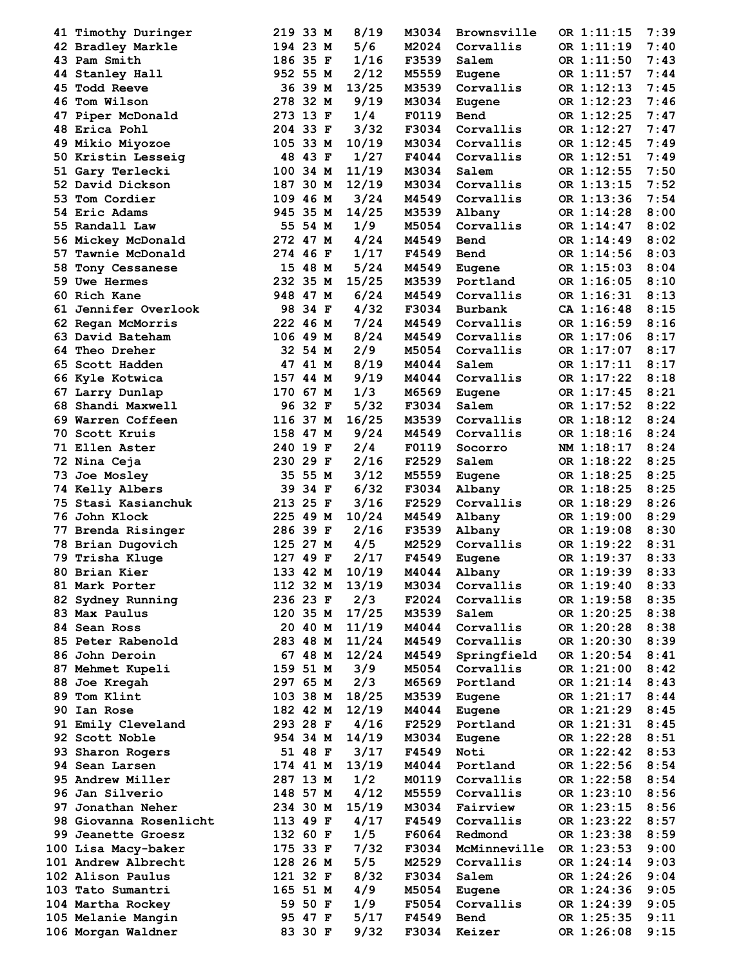| 41 Timothy Duringer                  | 219 33 M             | 8/19          | M3034          | Brownsville    | OR 1:11:15               | 7:39         |
|--------------------------------------|----------------------|---------------|----------------|----------------|--------------------------|--------------|
| 42 Bradley Markle                    | 194 23 M             | 5/6           | M2024          | Corvallis      | OR 1:11:19               | 7:40         |
| 43 Pam Smith                         | 186 35 F             | 1/16          | <b>F3539</b>   | Salem          | OR 1:11:50               | 7:43         |
| 44 Stanley Hall                      | 952 55 M             | 2/12          | M5559          | Eugene         | OR 1:11:57               | 7:44         |
| 45 Todd Reeve                        | 36 39 M              | 13/25         | M3539          | Corvallis      | OR 1:12:13               | 7:45         |
| 46 Tom Wilson                        | 278 32 M             | 9/19          | M3034          | Eugene         | OR 1:12:23               | 7:46         |
| 47 Piper McDonald                    | 273 13 F             | 1/4           | F0119          | Bend           | OR 1:12:25               | 7:47         |
| 48 Erica Pohl                        | 204 33 F             | 3/32          | F3034          | Corvallis      | OR 1:12:27               | 7:47         |
| 49 Mikio Miyozoe                     | 105 33 M             | 10/19         | M3034          | Corvallis      | OR 1:12:45               | 7:49         |
| 50 Kristin Lesseig                   | 48 43 F              | 1/27          | F4044          | Corvallis      | OR 1:12:51               | 7:49         |
| 51 Gary Terlecki                     | 100 34 M             | 11/19         | M3034          | Salem          | OR 1:12:55               | 7:50         |
| 52 David Dickson                     | 187 30 M             | 12/19         | M3034          | Corvallis      | OR 1:13:15               | 7:52         |
| 53 Tom Cordier                       | 109 46 M             | $3/24$        | <b>M4549</b>   | Corvallis      | OR 1:13:36               | 7:54         |
| 54 Eric Adams                        | 945 35 M             | 14/25         | M3539          | Albany         | OR 1:14:28               | 8:00         |
| 55 Randall Law                       | 55 54 M              | 1/9           | M5054          | Corvallis      | OR 1:14:47               | 8:02         |
| 56 Mickey McDonald                   | 272 47 M             | 4/24          | M4549          | Bend           | OR 1:14:49               | 8:02         |
| 57 Tawnie McDonald                   | 274 46 F             | 1/17          | F4549          | Bend           | OR 1:14:56               | 8:03         |
| 58 Tony Cessanese                    | 15 48 M              | 5/24          | <b>M4549</b>   | Eugene         | OR 1:15:03               | 8:04         |
| 59 Uwe Hermes                        | 232 35 M             | 15/25         |                | M3539 Portland | OR 1:16:05               | 8:10         |
| 60 Rich Kane                         |                      |               |                | Corvallis      |                          |              |
|                                      | 948 47 M             | 6/24          | <b>M4549</b>   |                | OR 1:16:31               | 8:13         |
| 61 Jennifer Overlook                 | 98 34 F              | 4/32          | F3034          | Burbank        | CA 1:16:48               | 8:15         |
| 62 Regan McMorris                    | 222 46 M             | 7/24          | <b>M4549</b>   | Corvallis      | OR 1:16:59               | 8:16         |
| 63 David Bateham                     | 106 49 M             | 8/24          | <b>M4549</b>   | Corvallis      | OR 1:17:06               | 8:17         |
| 64 Theo Dreher                       | 32 54 M              | 2/9           | <b>M5054</b>   | Corvallis      | OR 1:17:07               | 8:17         |
| 65 Scott Hadden                      | 47 41 M              | 8/19          | M4044          | Salem          | OR 1:17:11               | 8:17         |
| 66 Kyle Kotwica                      | 157 44 M             | 9/19          | <b>M4044</b>   | Corvallis      | OR 1:17:22               | 8:18         |
| 67 Larry Dunlap                      | 170 67 M             | 1/3           | <b>M6569</b>   | Eugene         | OR 1:17:45               | 8:21         |
| 68 Shandi Maxwell                    | 96 32 F              | 5/32          | F3034          | Salem          | OR 1:17:52               | 8:22         |
| 69 Warren Coffeen                    | 116 37 M             | 16/25         | M3539          | Corvallis      | OR 1:18:12               | 8:24         |
| 70 Scott Kruis                       | 158 47 M             | 9/24          | <b>M4549</b>   | Corvallis      | OR 1:18:16               | 8:24         |
| <b>71 Ellen Aster</b>                | 240 19 F             | 2/4           | F0119          | Socorro        | NM 1:18:17               | 8:24         |
| 72 Nina Ceja                         | 230 29 F             | 2/16          | F2529          | Salem          | OR 1:18:22               | 8:25         |
| 73 Joe Mosley                        | 35 55 M              | 3/12          | M5559          | Eugene         | OR 1:18:25               | 8:25         |
| 74 Kelly Albers                      | 39 34 F              | 6/32          | F3034          | Albany         | OR 1:18:25               | 8:25         |
| 75 Stasi Kasianchuk                  | 213 25 F             | 3/16          | <b>F2529</b>   | Corvallis      | OR 1:18:29               | 8:26         |
| 76 John Klock                        | 225 49 M             | 10/24         | <b>M4549</b>   | Albany         | OR 1:19:00               | 8:29         |
| 77 Brenda Risinger                   | 286 39 F             | 2/16          |                | F3539 Albany   | OR 1:19:08               | 8:30         |
| 78 Brian Dugovich                    | 125 27 M             | 4/5           | M2529          | Corvallis      | OR 1:19:22               | 8:31         |
| 79 Trisha Kluge                      | 127 49 F             | 2/17          | F4549          | Eugene         | OR 1:19:37               | 8:33         |
| 80 Brian Kier                        | 133 42 M             | 10/19         | M4044          | Albany         | OR 1:19:39               | 8:33         |
| 81 Mark Porter                       | 112 32 M 13/19       |               | M3034          | Corvallis      | OR 1:19:40               | 8:33         |
| 82 Sydney Running                    | 236 23 F             | 2/3           | F2024          | Corvallis      | OR 1:19:58               | 8:35         |
| 83 Max Paulus                        | 120 35 M 17/25       |               | M3539          | Salem          | OR 1:20:25               | 8:38         |
| 84 Sean Ross                         | 20 40 M              | 11/19         | <b>M4044</b>   | Corvallis      | OR 1:20:28               | 8:38         |
| 85 Peter Rabenold                    | 283 48 M             | 11/24         | <b>M4549</b>   | Corvallis      | OR 1:20:30               | 8:39         |
| 86 John Deroin                       | 67 48 M              | 12/24         | <b>M4549</b>   | Springfield    | OR 1:20:54               | 8:41         |
| 87 Mehmet Kupeli                     | 159 51 M             | 3/9           | M5054          | Corvallis      | OR 1:21:00               | 8:42         |
| 88 Joe Kregah                        | 297 65 M             | 2/3           | <b>M6569</b>   | Portland       | OR 1:21:14               | 8:43         |
| 89 Tom Klint                         | 103 38 M             | 18/25         | M3539          | Eugene         | OR 1:21:17               | 8:44         |
| 90 Ian Rose                          | 182 42 M             | 12/19         | <b>M4044</b>   | Eugene         | OR 1:21:29               | 8:45         |
|                                      |                      |               |                |                |                          |              |
| 91 Emily Cleveland<br>92 Scott Noble | 293 28 F<br>954 34 M | 4/16<br>14/19 | F2529<br>M3034 | Portland       | OR 1:21:31<br>OR 1:22:28 | 8:45<br>8:51 |
|                                      |                      |               |                | Eugene         |                          |              |
| 93 Sharon Rogers                     | 51 48 F              | 3/17          | F4549          | Noti           | OR 1:22:42               | 8:53         |
| 94 Sean Larsen                       | 174 41 M             | 13/19         | M4044          | Portland       | OR 1:22:56               | 8:54         |
| 95 Andrew Miller                     | 287 13 M             | 1/2           | M0119          | Corvallis      | OR 1:22:58               | 8:54         |
| 96 Jan Silverio                      | 148 57 M             | 4/12          | M5559          | Corvallis      | OR 1:23:10               | 8:56         |
| 97 Jonathan Neher                    | 234 30 M             | 15/19         | M3034          | Fairview       | OR 1:23:15               | 8:56         |
| 98 Giovanna Rosenlicht               | 113 49 F             | 4/17          | <b>F4549</b>   | Corvallis      | OR 1:23:22               | 8:57         |
| 99 Jeanette Groesz                   | 132 60 F             | 1/5           | F6064          | Redmond        | OR 1:23:38               | 8:59         |
| 100 Lisa Macy-baker                  | 175 33 F             | $7/32$        | F3034          | McMinneville   | OR 1:23:53               | 9:00         |
| 101 Andrew Albrecht                  | 128 26 M             | 5/5           | M2529          | Corvallis      | OR 1:24:14               | 9:03         |
| 102 Alison Paulus                    | 121 32 F             | 8/32          | <b>F3034</b>   | Salem          | OR 1:24:26               | 9:04         |
| 103 Tato Sumantri                    | 165 51 M             | 4/9           | M5054          | Eugene         | OR 1:24:36               | 9:05         |
| 104 Martha Rockey                    | 59 50 F              | 1/9           | <b>F5054</b>   | Corvallis      | OR 1:24:39               | 9:05         |
| 105 Melanie Mangin                   | 95 47 F              | 5/17          | <b>F4549</b>   | Bend           | OR 1:25:35               | 9:11         |
| 106 Morgan Waldner                   | 83 30 F              | 9/32          | F3034          | Keizer         | OR 1:26:08               | 9:15         |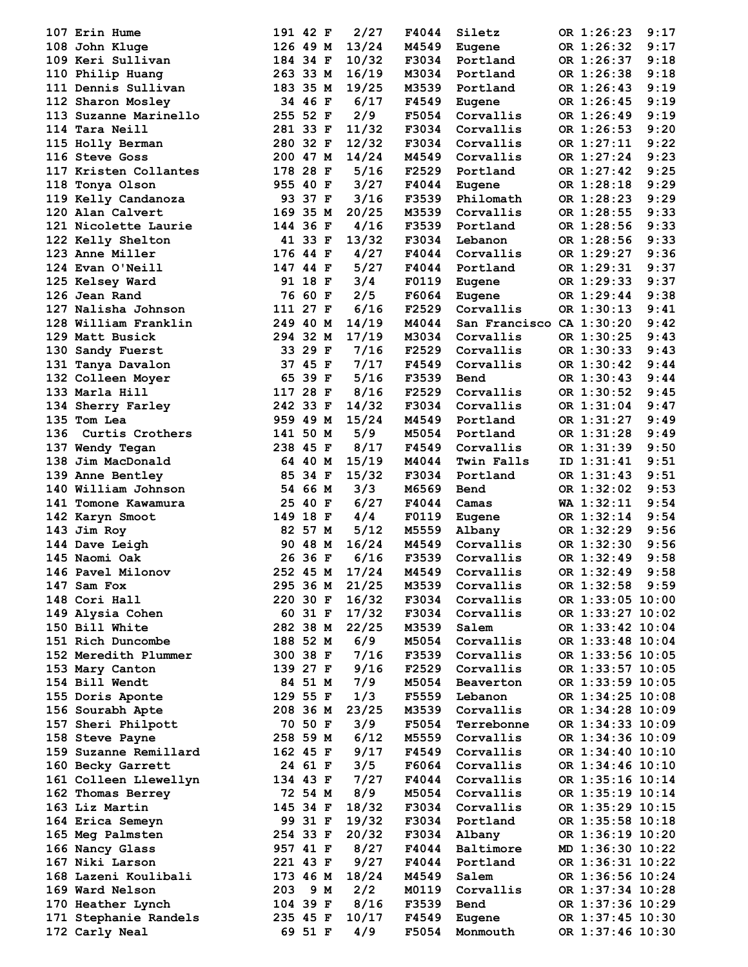| 107 Erin Hume     |                       |          | 191 42 F | 2/27           | F4044        | Siletz                   | OR 1:26:23       | 9:17 |
|-------------------|-----------------------|----------|----------|----------------|--------------|--------------------------|------------------|------|
| 108 John Kluge    |                       | 126 49 M |          | 13/24          | <b>M4549</b> | Eugene                   | OR 1:26:32       | 9:17 |
| 109 Keri Sullivan |                       | 184 34 F |          | 10/32          | F3034        | Portland                 | OR 1:26:37       | 9:18 |
| 110 Philip Huang  |                       |          | 263 33 M | 16/19          | M3034        | Portland                 | OR 1:26:38       | 9:18 |
|                   | 111 Dennis Sullivan   | 183 35 M |          | 19/25          | M3539        | Portland                 | OR 1:26:43       | 9:19 |
| 112 Sharon Mosley |                       |          | 34 46 F  | 6/17           | F4549        | <b>Eugene</b>            | OR 1:26:45       | 9:19 |
|                   |                       |          |          |                |              |                          |                  |      |
|                   | 113 Suzanne Marinello | 255 52 F |          | 2/9            | F5054        | Corvallis                | OR 1:26:49       | 9:19 |
| 114 Tara Neill    |                       | 281 33 F |          | 11/32          | F3034        | Corvallis                | OR 1:26:53       | 9:20 |
| 115 Holly Berman  |                       | 280 32 F |          | 12/32          | F3034        | Corvallis                | OR 1:27:11       | 9:22 |
| 116 Steve Goss    |                       |          | 200 47 M | 14/24          | <b>M4549</b> | Corvallis                | OR 1:27:24       | 9:23 |
|                   | 117 Kristen Collantes | 178 28 F |          | 5/16           | F2529        | Portland                 | OR 1:27:42       | 9:25 |
| 118 Tonya Olson   |                       |          | 955 40 F | 3/27           | F4044        | Eugene                   | OR 1:28:18       | 9:29 |
|                   | 119 Kelly Candanoza   |          | 93 37 F  | 3/16           | F3539        | Philomath                | OR 1:28:23       | 9:29 |
| 120 Alan Calvert  |                       | 169 35 M |          | 20/25          | M3539        | Corvallis                | OR 1:28:55       | 9:33 |
|                   | 121 Nicolette Laurie  | 144 36 F |          | 4/16           | <b>F3539</b> | Portland                 | OR 1:28:56       | 9:33 |
|                   |                       |          |          |                |              |                          |                  |      |
| 122 Kelly Shelton |                       |          | 41 33 F  | 13/32          | F3034        | Lebanon                  | OR 1:28:56       | 9:33 |
| 123 Anne Miller   |                       | 176 44 F |          | 4/27           |              | F4044 Corvallis          | OR 1:29:27       | 9:36 |
| 124 Evan O'Neill  |                       | 147 44 F |          | $5/27$         |              | F4044 Portland           | OR 1:29:31       | 9:37 |
| 125 Kelsey Ward   |                       |          | 91 18 F  | 3/4            |              | F0119 Eugene             | OR 1:29:33       | 9:37 |
| 126 Jean Rand     |                       |          | 76 60 F  | 2/5            | <b>F6064</b> | Eugene                   | OR 1:29:44       | 9:38 |
|                   | 127 Nalisha Johnson   | 111 27 F |          | 6/16           | F2529        | Corvallis                | OR 1:30:13       | 9:41 |
|                   | 128 William Franklin  | 249 40 M |          | 14/19          | <b>M4044</b> | San Francisco CA 1:30:20 |                  | 9:42 |
| 129 Matt Busick   |                       | 294 32 M |          | 17/19          | M3034        | Corvallis                | OR 1:30:25       | 9:43 |
| 130 Sandy Fuerst  |                       |          | 33 29 F  | 7/16           | F2529        | Corvallis                | OR 1:30:33       | 9:43 |
|                   |                       |          |          | 7/17           |              |                          | OR 1:30:42       |      |
| 131 Tanya Davalon |                       |          | 37 45 F  |                | F4549        | Corvallis                |                  | 9:44 |
| 132 Colleen Moyer |                       |          | 65 39 F  | 5/16           | F3539        | Bend                     | OR 1:30:43       | 9:44 |
| 133 Marla Hill    |                       | 117 28 F |          | 8/16           | <b>F2529</b> | Corvallis                | OR 1:30:52       | 9:45 |
| 134 Sherry Farley |                       | 242 33 F |          | 14/32          | F3034        | Corvallis                | OR 1:31:04       | 9:47 |
| 135 Tom Lea       |                       |          | 959 49 M | 15/24          | <b>M4549</b> | Portland                 | OR 1:31:27       | 9:49 |
| 136               | Curtis Crothers       | 141 50 M |          | 5/9            | <b>M5054</b> | Portland                 | OR 1:31:28       | 9:49 |
| 137 Wendy Tegan   |                       | 238 45 F |          | 8/17           | <b>F4549</b> | Corvallis                | OR 1:31:39       | 9:50 |
| 138 Jim MacDonald |                       |          | 64 40 M  | 15/19          | <b>M4044</b> | Twin Falls               | ID 1:31:41       | 9:51 |
| 139 Anne Bentley  |                       |          | 85 34 F  | 15/32          | F3034        | Portland                 | OR 1:31:43       | 9:51 |
|                   | 140 William Johnson   |          | 54 66 M  | 3/3            | M6569        | Bend                     | OR 1:32:02       | 9:53 |
|                   |                       |          |          |                |              |                          |                  |      |
|                   | 141 Tomone Kawamura   |          | 25 40 F  | 6/27           | F4044        | Camas                    | WA 1:32:11       | 9:54 |
| 142 Karyn Smoot   |                       | 149 18 F |          | 4/4            |              | F0119 Eugene             | OR 1:32:14       | 9:54 |
| 143 Jim Roy       |                       |          | 82 57 M  | 5/12           |              | M5559 Albany             | OR 1:32:29       | 9:56 |
| 144 Dave Leigh    |                       |          | 90 48 M  | 16/24          | <b>M4549</b> | Corvallis                | OR 1:32:30       | 9:56 |
| 145 Naomi Oak     |                       |          | 26 36 F  | 6/16           | F3539        | Corvallis                | OR 1:32:49       | 9:58 |
| 146 Pavel Milonov |                       |          |          | 252 45 M 17/24 | M4549        | Corvallis                | OR 1:32:49       | 9:58 |
| 147 Sam Fox       |                       |          | 295 36 M | 21/25          | M3539        | Corvallis                | OR 1:32:58 9:59  |      |
| 148 Cori Hall     |                       | 220 30 F |          | 16/32          | F3034        | Corvallis                | OR 1:33:05 10:00 |      |
| 149 Alysia Cohen  |                       |          | 60 31 F  | 17/32          | F3034        | Corvallis                | OR 1:33:27 10:02 |      |
|                   |                       |          |          |                |              |                          |                  |      |
| 150 Bill White    |                       |          | 282 38 M | 22/25          | M3539        | Salem                    | OR 1:33:42 10:04 |      |
| 151 Rich Duncombe |                       | 188 52 M |          | 6/9            | M5054        | Corvallis                | OR 1:33:48 10:04 |      |
|                   | 152 Meredith Plummer  |          | 300 38 F | 7/16           | <b>F3539</b> | Corvallis                | OR 1:33:56 10:05 |      |
| 153 Mary Canton   |                       | 139 27 F |          | 9/16           | F2529        | Corvallis                | OR 1:33:57 10:05 |      |
| 154 Bill Wendt    |                       |          | 84 51 M  | 7/9            | M5054        | Beaverton                | OR 1:33:59 10:05 |      |
| 155 Doris Aponte  |                       | 129 55 F |          | 1/3            | F5559        | Lebanon                  | OR 1:34:25 10:08 |      |
| 156 Sourabh Apte  |                       | 208 36 M |          | 23/25          | M3539        | Corvallis                | OR 1:34:28 10:09 |      |
|                   | 157 Sheri Philpott    |          | 70 50 F  | 3/9            | F5054        | Terrebonne               | OR 1:34:33 10:09 |      |
| 158 Steve Payne   |                       | 258 59 M |          | 6/12           | M5559        | Corvallis                | OR 1:34:36 10:09 |      |
|                   |                       |          |          |                |              |                          |                  |      |
|                   | 159 Suzanne Remillard | 162 45 F |          | 9/17           | F4549        | Corvallis                | OR 1:34:40 10:10 |      |
| 160 Becky Garrett |                       |          | 24 61 F  | 3/5            | <b>F6064</b> | Corvallis                | OR 1:34:46 10:10 |      |
|                   | 161 Colleen Llewellyn | 134 43 F |          | 7/27           | F4044        | Corvallis                | OR 1:35:16 10:14 |      |
| 162 Thomas Berrey |                       |          | 72 54 M  | 8/9            | M5054        | Corvallis                | OR 1:35:19 10:14 |      |
| 163 Liz Martin    |                       |          | 145 34 F | 18/32          | F3034        | Corvallis                | OR 1:35:29 10:15 |      |
| 164 Erica Semeyn  |                       |          | 99 31 F  | 19/32          | F3034        | Portland                 | OR 1:35:58 10:18 |      |
| 165 Meg Palmsten  |                       | 254 33 F |          | 20/32          | F3034        | Albany                   | OR 1:36:19 10:20 |      |
| 166 Nancy Glass   |                       | 957 41 F |          | 8/27           | F4044        | Baltimore                | MD 1:36:30 10:22 |      |
|                   |                       |          |          | 9/27           |              |                          |                  |      |
| 167 Niki Larson   |                       | 221 43 F |          |                | F4044        | Portland                 | OR 1:36:31 10:22 |      |
|                   | 168 Lazeni Koulibali  | 173 46 M |          | 18/24          | M4549        | Salem                    | OR 1:36:56 10:24 |      |
| 169 Ward Nelson   |                       |          | 203 9 M  | 2/2            | M0119        | Corvallis                | OR 1:37:34 10:28 |      |
| 170 Heather Lynch |                       | 104 39 F |          | 8/16           | F3539        | Bend                     | OR 1:37:36 10:29 |      |
|                   | 171 Stephanie Randels | 235 45 F |          | 10/17          | F4549        | Eugene                   | OR 1:37:45 10:30 |      |
| 172 Carly Neal    |                       |          | 69 51 F  | 4/9            | F5054        | Monmouth                 | OR 1:37:46 10:30 |      |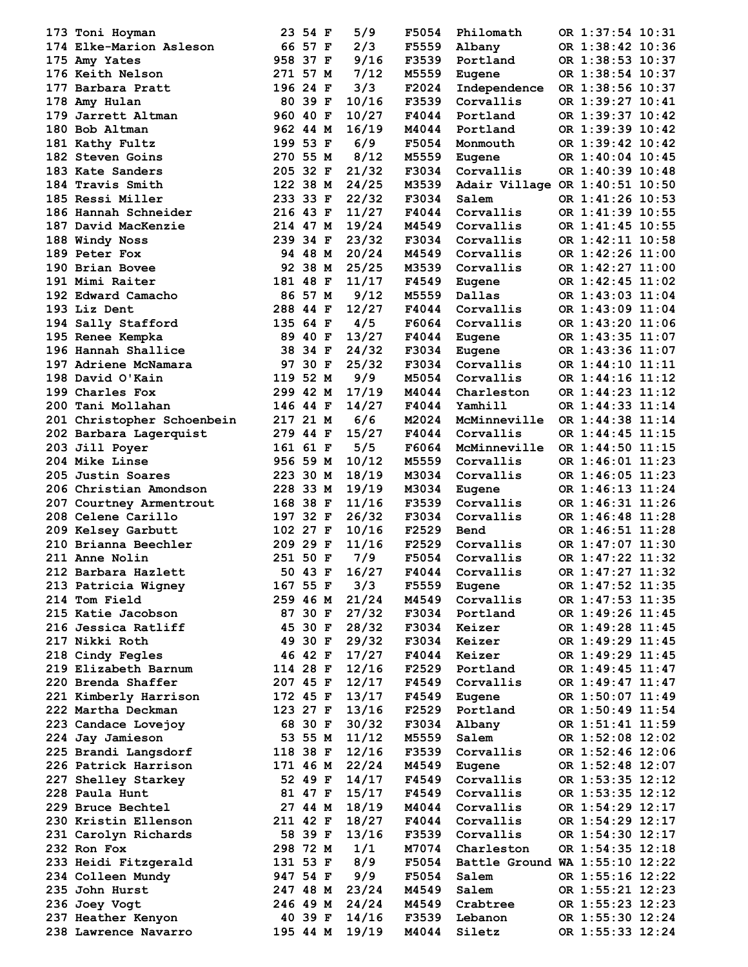| 173 Toni Hoyman                            | 23 54 F             | 5/9            | F5054                 | Philomath          | OR 1:37:54 10:31                     |
|--------------------------------------------|---------------------|----------------|-----------------------|--------------------|--------------------------------------|
| 174 Elke-Marion Asleson                    | 66 57 F             | 2/3            | <b>F5559</b>          | Albany             | OR 1:38:42 10:36                     |
| 175 Amy Yates                              | 958 37 F            | 9/16           | F3539                 | Portland           | OR 1:38:53 10:37                     |
| 176 Keith Nelson                           | 271 57 M            | 7/12           | M5559                 | Eugene             | OR 1:38:54 10:37                     |
| 177 Barbara Pratt                          | 196 24 F            | 3/3            | F2024                 | Independence       | OR 1:38:56 10:37                     |
| 178 Amy Hulan                              | 80 39 F             | 10/16          | F3539                 | Corvallis          | OR 1:39:27 10:41                     |
| 179 Jarrett Altman                         | 960 40 F            | 10/27          | F4044                 | Portland           | OR 1:39:37 10:42                     |
| 180 Bob Altman                             | 962 44 M            | 16/19          | M4044                 | Portland           | OR 1:39:39 10:42                     |
| 181 Kathy Fultz                            | 199 53 F            | 6/9            | <b>F5054</b>          | Monmouth           | OR 1:39:42 10:42                     |
| 182 Steven Goins                           | 270 55 M            | 8/12           | M5559                 | <b>Eugene</b>      | OR 1:40:04 10:45                     |
| 183 Kate Sanders                           | 205 32 F            | 21/32          | F3034                 | Corvallis          | OR 1:40:39 10:48                     |
| 184 Travis Smith                           | 122 38 M            | 24/25          | M3539                 |                    | Adair Village OR 1:40:51 10:50       |
| 185 Ressi Miller                           | 233 33 F            | 22/32          | F3034                 | Salem              | OR 1:41:26 10:53                     |
| 186 Hannah Schneider                       | 216 43 F            | 11/27          | F4044                 | Corvallis          | OR 1:41:39 10:55                     |
| 187 David MacKenzie                        | 214 47 M            | 19/24          | M4549                 | Corvallis          | OR 1:41:45 10:55                     |
| 188 Windy Noss                             | 239 34 F            | 23/32          | F3034                 | Corvallis          | OR 1:42:11 10:58                     |
| 189 Peter Fox                              | 94 48 M             | 20/24          | <b>M4549</b>          | Corvallis          | OR 1:42:26 11:00                     |
| 190 Brian Bovee                            | 92 38 M             | 25/25          | M3539                 | Corvallis          | OR 1:42:27 11:00                     |
| 191 Mimi Raiter                            | 181 48 F            | 11/17          | <b>F4549</b>          | Eugene             | OR 1:42:45 11:02                     |
| 192 Edward Camacho                         | 86 57 M             | 9/12           | M5559                 | Dallas             | OR 1:43:03 11:04                     |
|                                            |                     |                |                       | Corvallis          |                                      |
| 193 Liz Dent                               | 288 44 F            | 12/27          | F4044                 |                    | OR 1:43:09 11:04                     |
| 194 Sally Stafford                         | 135 64 F            | 4/5            | F6064                 | Corvallis          | OR 1:43:20 11:06                     |
| 195 Renee Kempka                           | 89 40 F             | 13/27          | F4044                 | Eugene             | OR 1:43:35 11:07                     |
| 196 Hannah Shallice                        | 38 34 F             | 24/32          | F3034                 | Eugene             | OR 1:43:36 11:07                     |
| 197 Adriene McNamara                       | 97 30 F             | 25/32          | F3034                 | Corvallis          | OR 1:44:10 11:11                     |
| 198 David O'Kain                           | 119 52 M            | 9/9            | M5054                 | Corvallis          | OR 1:44:16 11:12                     |
| 199 Charles Fox                            | 299 42 M            | 17/19          | <b>M4044</b>          | Charleston         | OR 1:44:23 11:12                     |
| 200 Tani Mollahan                          | 146 44 F            | 14/27          | F4044                 | Yamhill            | OR 1:44:33 11:14                     |
| 201 Christopher Schoenbein                 | 217 21 M            | 6/6            |                       | M2024 McMinneville | OR 1:44:38 11:14                     |
| 202 Barbara Lagerquist                     | 279 44 F            | 15/27          | F4044                 | Corvallis          | OR 1:44:45 11:15                     |
| 203 Jill Poyer                             | 161 61 F            | 5/5            | <b>F6064</b>          | McMinneville       | OR 1:44:50 11:15                     |
| <b>204 Mike Linse</b>                      | 956 59 M            | 10/12          | M5559                 | Corvallis          | OR 1:46:01 11:23                     |
| 205 Justin Soares                          | 223 30 M            | 18/19          | M3034                 | Corvallis          | OR 1:46:05 11:23                     |
| 206 Christian Amondson                     | 228 33 M            | 19/19          | M3034                 | <b>Eugene</b>      | OR 1:46:13 11:24                     |
| 207 Courtney Armentrout                    | 168 38 F            | 11/16          | <b>F3539</b>          | Corvallis          | OR 1:46:31 11:26                     |
| 208 Celene Carillo                         | 197 32 F            | 26/32          | F3034                 | Corvallis          | OR 1:46:48 11:28                     |
| 209 Kelsey Garbutt                         | 102 27 F            | 10/16          | F2529 Bend            |                    | OR 1:46:51 11:28                     |
| 210 Brianna Beechler                       | 209 29 F            | 11/16          | <b>F2529</b>          | Corvallis          | OR 1:47:07 11:30                     |
| 211 Anne Nolin                             | 251 50 F            | 7/9            | F5054                 | Corvallis          | OR 1:47:22 11:32                     |
| 212 Barbara Hazlett                        | 50 43 F 16/27       |                | F4044                 | Corvallis          | OR 1:47:27 11:32                     |
| 213 Patricia Wigney                        | 167 55 F            | 3/3            | F5559                 | Eugene             | OR 1:47:52 11:35                     |
| 214 Tom Field                              | 259 46 M            | 21/24          | M4549                 | Corvallis          | OR 1:47:53 11:35                     |
| 215 Katie Jacobson                         | 87 30 F             | 27/32          | F3034                 | Portland           | OR 1:49:26 11:45                     |
| 216 Jessica Ratliff                        | 45 30 F             | 28/32          | F3034                 | Keizer             | OR 1:49:28 11:45                     |
| 217 Nikki Roth                             | 49 30 F             | 29/32          | F3034                 | Keizer             | OR 1:49:29 11:45                     |
| 218 Cindy Fegles                           | 46 42 F             | 17/27          | F4044                 | Keizer             | OR 1:49:29 11:45                     |
| 219 Elizabeth Barnum                       | 114 28 F            | 12/16          | F2529                 | Portland           | OR 1:49:45 11:47                     |
| 220 Brenda Shaffer                         | 207 45 F            | 12/17          | <b>F4549</b>          | Corvallis          | OR 1:49:47 11:47                     |
| 221 Kimberly Harrison                      | 172 45 F            | 13/17          | <b>F4549</b>          | Eugene             | OR 1:50:07 11:49                     |
| 222 Martha Deckman                         | 123 27 F            | 13/16          | F2529                 | Portland           | OR 1:50:49 11:54                     |
| 223 Candace Lovejoy                        | 68 30 F             | 30/32          | F3034                 | Albany             | OR 1:51:41 11:59                     |
| 224 Jay Jamieson                           | 53 55 M             | 11/12          | M5559                 | Salem              | OR 1:52:08 12:02                     |
| 225 Brandi Langsdorf                       | 118 38 F            | 12/16          | F3539                 | Corvallis          | OR 1:52:46 12:06                     |
| 226 Patrick Harrison                       | 171 46 M            | 22/24          | M4549                 | Eugene             | OR 1:52:48 12:07                     |
| 227 Shelley Starkey                        | 52 49 F             | 14/17          | <b>F4549</b>          | Corvallis          | OR 1:53:35 12:12                     |
| 228 Paula Hunt                             | 81 47 F             | 15/17          | <b>F4549</b>          | Corvallis          | OR 1:53:35 12:12                     |
| 229 Bruce Bechtel                          | 27 44 M             | 18/19          | <b>M4044</b>          | Corvallis          | OR 1:54:29 12:17                     |
| 230 Kristin Ellenson                       | 211 42 F            | 18/27          | F4044                 | Corvallis          | OR 1:54:29 12:17                     |
| 231 Carolyn Richards                       | 58 39 F             | 13/16          | F3539                 | Corvallis          | OR 1:54:30 12:17                     |
| 232 Ron Fox                                | 298 72 M            | 1/1            | M7074                 | Charleston         | OR 1:54:35 12:18                     |
|                                            | 131 53 F            | 8/9            | F5054                 |                    | Battle Ground WA 1:55:10 12:22       |
| 233 Heidi Fitzgerald                       |                     | 9/9            |                       | Salem              |                                      |
| 234 Colleen Mundy                          | 947 54 F            |                | F5054                 |                    | OR 1:55:16 12:22                     |
| 235 John Hurst                             | 247 48 M            | 23/24          | M4549                 | Salem              | OR 1:55:21 12:23                     |
| 236 Joey Vogt                              | 246 49 M            | 24/24          | <b>M4549</b>          | Crabtree           | OR 1:55:23 12:23                     |
| 237 Heather Kenyon<br>238 Lawrence Navarro | 40 39 F<br>195 44 M | 14/16<br>19/19 | F3539<br><b>M4044</b> | Lebanon<br>Siletz  | OR 1:55:30 12:24<br>OR 1:55:33 12:24 |
|                                            |                     |                |                       |                    |                                      |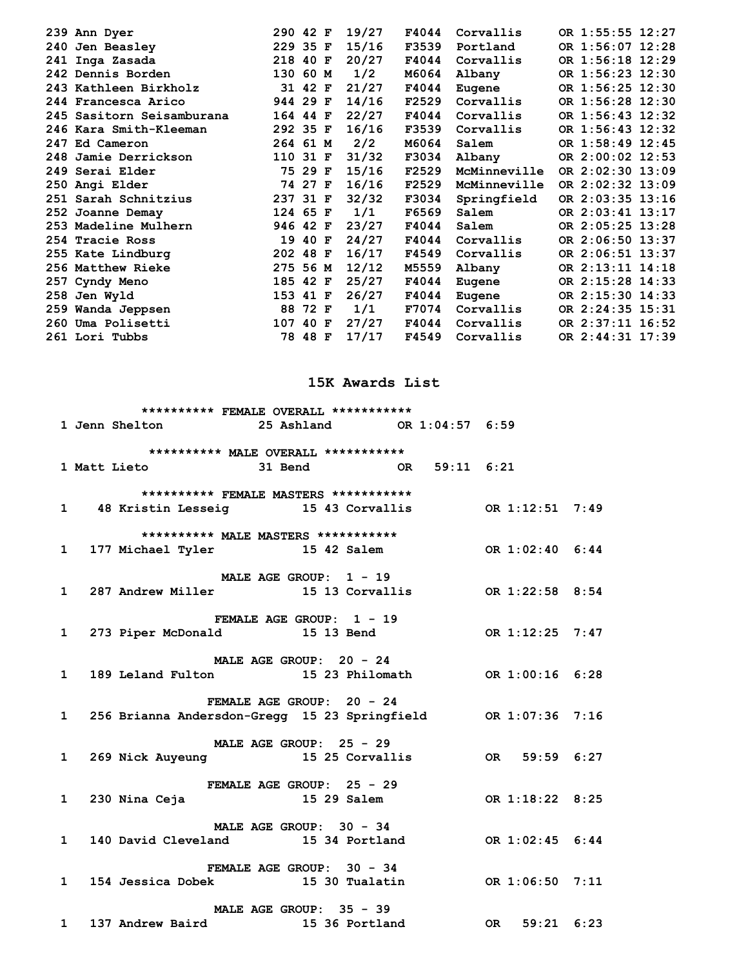| 239 Ann Dyer              | 290 42 F | 19/27<br>F4044 | Corvallis    | OR 1:55:55 12:27 |
|---------------------------|----------|----------------|--------------|------------------|
| 240 Jen Beasley           | 229 35 F | 15/16<br>F3539 | Portland     | OR 1:56:07 12:28 |
| 241 Inga Zasada           | 218 40 F | 20/27<br>F4044 | Corvallis    | OR 1:56:18 12:29 |
| 242 Dennis Borden         | 130 60 M | 1/2<br>M6064   | Albany       | OR 1:56:23 12:30 |
| 243 Kathleen Birkholz     | 31 42 F  | 21/27<br>F4044 | Eugene       | OR 1:56:25 12:30 |
| 244 Francesca Arico       | 944 29 F | 14/16<br>F2529 | Corvallis    | OR 1:56:28 12:30 |
| 245 Sasitorn Seisamburana | 164 44 F | 22/27<br>F4044 | Corvallis    | OR 1:56:43 12:32 |
| 246 Kara Smith-Kleeman    | 292 35 F | 16/16<br>F3539 | Corvallis    | OR 1:56:43 12:32 |
| 247 Ed Cameron            | 264 61 M | 2/2<br>M6064   | Salem        | OR 1:58:49 12:45 |
| 248 Jamie Derrickson      | 110 31 F | 31/32<br>F3034 | Albany       | OR 2:00:02 12:53 |
| 249 Serai Elder           | 75 29 F  | 15/16<br>F2529 | McMinneville | OR 2:02:30 13:09 |
| 250 Angi Elder            | 74 27 F  | 16/16<br>F2529 | McMinneville | OR 2:02:32 13:09 |
| 251 Sarah Schnitzius      | 237 31 F | 32/32<br>F3034 | Springfield  | OR 2:03:35 13:16 |
| 252 Joanne Demay          | 124 65 F | 1/1<br>F6569   | Salem        | OR 2:03:41 13:17 |
| 253 Madeline Mulhern      | 946 42 F | 23/27<br>F4044 | Salem        | OR 2:05:25 13:28 |
| 254 Tracie Ross           | 19 40 F  | 24/27<br>F4044 | Corvallis    | OR 2:06:50 13:37 |
| 255 Kate Lindburg         | 202 48 F | 16/17<br>F4549 | Corvallis    | OR 2:06:51 13:37 |
| 256 Matthew Rieke         | 275 56 M | 12/12<br>M5559 | Albany       | OR 2:13:11 14:18 |
| 257 Cyndy Meno            | 185 42 F | 25/27<br>F4044 | Eugene       | OR 2:15:28 14:33 |
| 258 Jen Wyld              | 153 41 F | 26/27<br>F4044 | Eugene       | OR 2:15:30 14:33 |
| 259 Wanda Jeppsen         | 88 72 F  | 1/1<br>F7074   | Corvallis    | OR 2:24:35 15:31 |
| 260 Uma Polisetti         | 107 40 F | 27/27<br>F4044 | Corvallis    | OR 2:37:11 16:52 |
| 261 Lori Tubbs            | 78 48 F  | 17/17<br>F4549 | Corvallis    | OR 2:44:31 17:39 |

### **15K Awards List**

|                                                                               | ********** FEMALE OVERALL *********** |  |  |
|-------------------------------------------------------------------------------|---------------------------------------|--|--|
| 1 Jenn Shelton 25 Ashland 0R 1:04:57 6:59                                     |                                       |  |  |
| ********** MALE OVERALL ***********                                           |                                       |  |  |
| 1 Matt Lieto 31 Bend OR 59:11 6:21                                            |                                       |  |  |
|                                                                               | ********** FEMALE MASTERS *********** |  |  |
| 1 48 Kristin Lesseig 15 43 Corvallis OR 1:12:51 7:49                          |                                       |  |  |
|                                                                               | ********** MALE MASTERS ***********   |  |  |
| 1 177 Michael Tyler 15 42 Salem 6R 1:02:40 6:44                               |                                       |  |  |
|                                                                               | MALE AGE GROUP: $1 - 19$              |  |  |
| 1 287 Andrew Miller 15 13 Corvallis 0R 1:22:58 8:54                           |                                       |  |  |
|                                                                               | FEMALE AGE GROUP: 1 - 19              |  |  |
| 1 273 Piper McDonald 15 13 Bend OR 1:12:25 7:47                               |                                       |  |  |
|                                                                               | MALE AGE GROUP: $20 - 24$             |  |  |
| 1 189 Leland Fulton 15 23 Philomath 0R 1:00:16 6:28                           |                                       |  |  |
|                                                                               | FEMALE AGE GROUP: 20 - 24             |  |  |
| 1 256 Brianna Andersdon-Gregg 15 23 Springfield OR 1:07:36 7:16               |                                       |  |  |
|                                                                               | MALE AGE GROUP: 25 - 29               |  |  |
| 269 Nick Auyeung 25 Au U.S. 25 Corvallis 369 Nick Auyeung 269 15 25 Corvallis |                                       |  |  |
|                                                                               |                                       |  |  |
|                                                                               |                                       |  |  |
|                                                                               | MALE AGE GROUP: 30 - 34               |  |  |
| 1 140 David Cleveland 15 34 Portland 0R 1:02:45 6:44                          |                                       |  |  |
|                                                                               | <b>FEMALE AGE GROUP: 30 - 34</b>      |  |  |
| 1 154 Jessica Dobek 15 30 Tualatin 0R 1:06:50 7:11                            |                                       |  |  |
|                                                                               |                                       |  |  |
| MALE AGE GROUP: 35 - 39<br>1 137 Andrew Baird 15 36 Portland 0R 59:21 6:23    |                                       |  |  |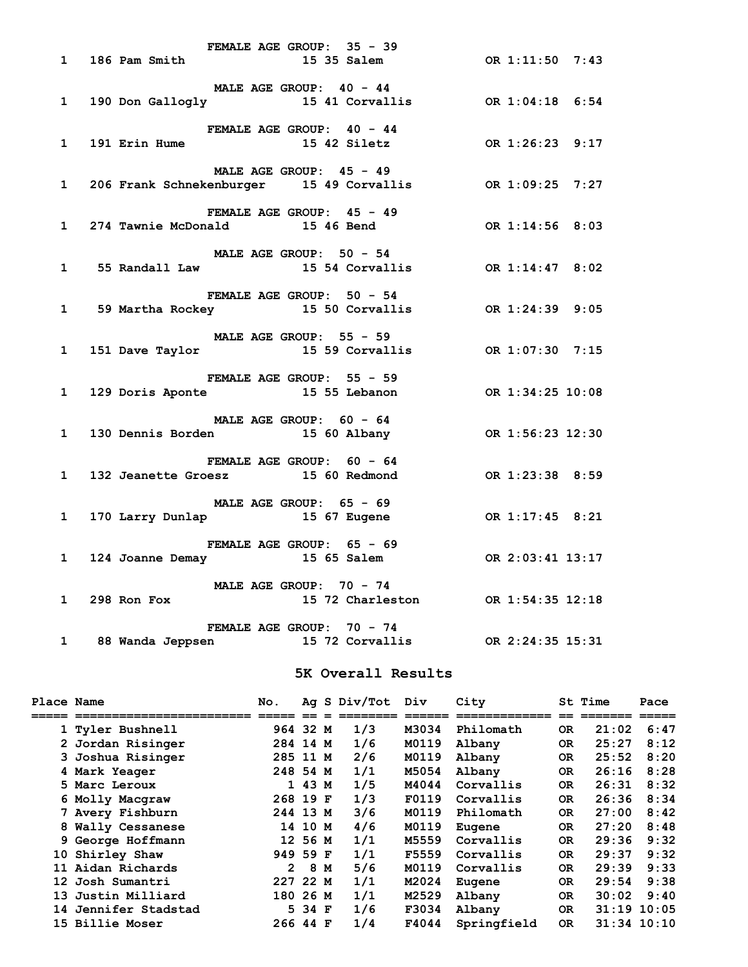|              | FERTALE AUST UROUP: 35 - 39<br>15 35 Salem 0R 1:11:50 7:43                        | FEMALE AGE GROUP: 35 - 39        |                                   |  |  |
|--------------|-----------------------------------------------------------------------------------|----------------------------------|-----------------------------------|--|--|
|              |                                                                                   |                                  |                                   |  |  |
|              | 1 190 Don Gallogly 15 41 Corvallis 6:54                                           |                                  | MALE AGE GROUP: 40 - 44           |  |  |
|              |                                                                                   | FEMALE AGE GROUP: 40 - 44        |                                   |  |  |
|              | 1 191 Erin Hume 15 42 Siletz OR 1:26:23 9:17                                      |                                  |                                   |  |  |
|              |                                                                                   | MALE AGE GROUP: 45 - 49          |                                   |  |  |
|              | 1 206 Frank Schnekenburger 15 49 Corvallis OR 1:09:25 7:27                        |                                  |                                   |  |  |
|              |                                                                                   | <b>FEMALE AGE GROUP: 45 - 49</b> |                                   |  |  |
|              | 1 274 Tawnie McDonald 15 46 Bend 0R 1:14:56 8:03                                  |                                  |                                   |  |  |
|              |                                                                                   | MALE AGE GROUP: 50 - 54          |                                   |  |  |
|              | 1 55 Randall Law 15 54 Corvallis OR 1:14:47 8:02                                  |                                  |                                   |  |  |
|              |                                                                                   | <b>FEMALE AGE GROUP: 50 - 54</b> |                                   |  |  |
|              | 1 59 Martha Rockey 15 50 Corvallis OR 1:24:39 9:05                                |                                  |                                   |  |  |
|              |                                                                                   | MALE AGE GROUP: 55 - 59          |                                   |  |  |
|              | 1 151 Dave Taylor 15 59 Corvallis 6 0R 1:07:30 7:15                               |                                  |                                   |  |  |
|              |                                                                                   |                                  |                                   |  |  |
|              | FEMALE AGE GROUP: 55 - 59<br>129 Doris Aponte 15 55 Lebanon 6 0R 1:34:25 10:08    |                                  |                                   |  |  |
|              |                                                                                   | MALE AGE GROUP: $60 - 64$        |                                   |  |  |
|              | 1 130 Dennis Borden 15 60 Albany 15 0R 1:56:23 12:30                              |                                  |                                   |  |  |
|              |                                                                                   | FEMALE AGE GROUP: 60 - 64        |                                   |  |  |
|              | FEMALE AGE GROUP: $60 - 64$<br>132 Jeanette Groesz 15 60 Redmond 0R 1:23:38 8:59  |                                  |                                   |  |  |
|              |                                                                                   | MALE AGE GROUP: 65 - 69          |                                   |  |  |
| $\mathbf{1}$ |                                                                                   |                                  |                                   |  |  |
|              |                                                                                   |                                  |                                   |  |  |
|              | FEMALE AGE GROUP: 65 - 69<br>124 Joanne Demay 15 65 Salem (1995) 0R 2:03:41 13:17 |                                  |                                   |  |  |
|              |                                                                                   |                                  |                                   |  |  |
|              | MALE AGE GROUP: $70 - 74$<br>1 298 Ron Fox                                        |                                  | 15 72 Charleston OR 1:54:35 12:18 |  |  |
|              |                                                                                   | FEMALE AGE GROUP: 70 - 74        |                                   |  |  |
|              | 1 88 Wanda Jeppsen<br>15 72 Corvallis 0R 2:24:35 15:31                            |                                  |                                   |  |  |

#### **5K Overall Results**

| Place Name |                        | No.          |         | Ag S Div/Tot | Div   | City        |           | St Time | Pace            |
|------------|------------------------|--------------|---------|--------------|-------|-------------|-----------|---------|-----------------|
|            | ====================== |              |         |              |       |             |           | ======= |                 |
|            | 1 Tyler Bushnell       | 964 32 M     |         | 1/3          | M3034 | Philomath   | <b>OR</b> | 21:02   | 6:47            |
|            | 2 Jordan Risinger      | 284 14 M     |         | 1/6          | M0119 | Albany      | 0R        | 25:27   | 8:12            |
|            | 3 Joshua Risinger      | 285 11 M     |         | 2/6          | M0119 | Albany      | 0R        | 25:52   | 8:20            |
|            | 4 Mark Yeager          | 248 54 M     |         | 1/1          | M5054 | Albany      | 0R        | 26:16   | 8:28            |
|            | 5 Marc Leroux          |              | 1 43 M  | 1/5          | M4044 | Corvallis   | 0R        | 26:31   | 8:32            |
|            | 6 Molly Macgraw        | 268 19 F     |         | 1/3          | F0119 | Corvallis   | <b>OR</b> | 26:36   | 8:34            |
|            | 7 Avery Fishburn       | 244 13 M     |         | 3/6          | M0119 | Philomath   | 0R        | 27:00   | 8:42            |
|            | 8 Wally Cessanese      |              | 14 10 M | 4/6          | M0119 | Eugene      | OR.       | 27:20   | 8:48            |
|            | 9 George Hoffmann      |              | 12 56 M | 1/1          | M5559 | Corvallis   | 0R        | 29:36   | 9:32            |
|            | 10 Shirley Shaw        | 949 59 F     |         | 1/1          | F5559 | Corvallis   | 0R        | 29:37   | 9:32            |
|            | 11 Aidan Richards      | $\mathbf{2}$ | 8 M     | 5/6          | M0119 | Corvallis   | 0R        | 29:39   | 9:33            |
|            | 12 Josh Sumantri       | 227 22 M     |         | 1/1          | M2024 | Eugene      | OR.       | 29:54   | 9:38            |
|            | 13 Justin Milliard     | 180 26 M     |         | 1/1          | M2529 | Albany      | 0R        | 30:02   | 9:40            |
| 14         | Jennifer Stadstad      |              | 5 34 F  | 1/6          | F3034 | Albany      | OR.       | 31:19   | 10:05           |
|            | 15 Billie Moser        | 266 44 F     |         | 1/4          | F4044 | Springfield | 0R        |         | $31:34$ $10:10$ |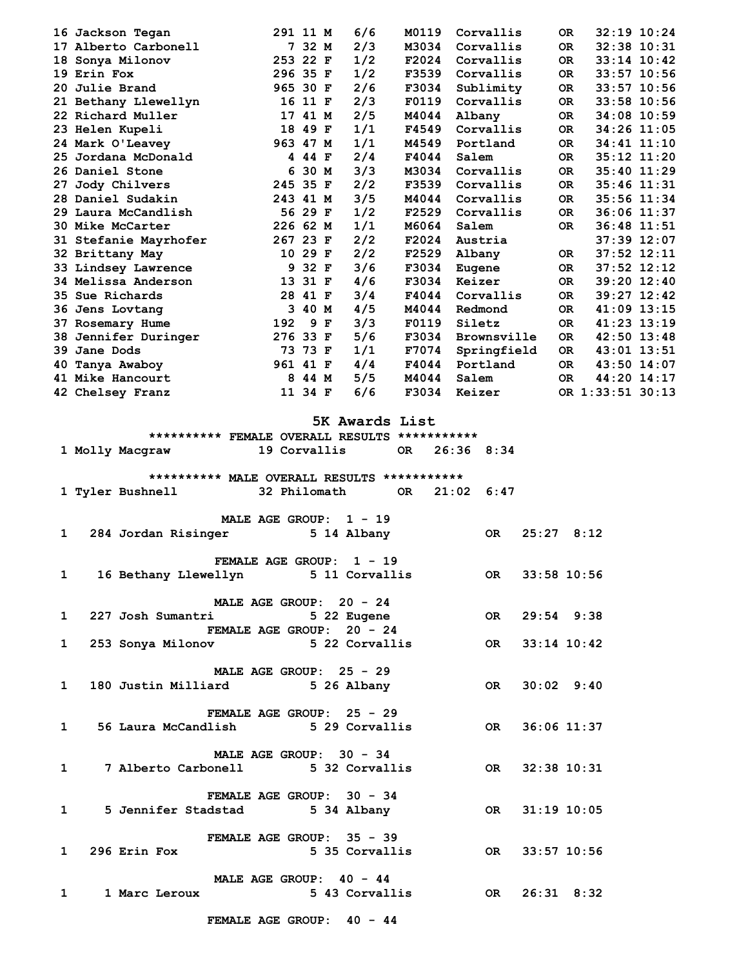| 16 Jackson Tegan         | 291 11 M |         |   | 6/6 | M0119 | Corvallis   | 0R        | $32:19$ $10:24$  |
|--------------------------|----------|---------|---|-----|-------|-------------|-----------|------------------|
| 17 Alberto Carbonell     | 7        | 32 M    |   | 2/3 | M3034 | Corvallis   | OR.       | 32:38 10:31      |
| Sonya Milonov<br>18      | 253 22 F |         |   | 1/2 | F2024 | Corvallis   | OR.       | $33:14$ 10:42    |
| 19 Erin Fox              | 296 35 F |         |   | 1/2 | F3539 | Corvallis   | OR.       | 33:57 10:56      |
| Julie Brand<br>20        | 965 30 F |         |   | 2/6 | F3034 | Sublimity   | OR.       | 33:57 10:56      |
| 21 Bethany Llewellyn     | 16       | 11 F    |   | 2/3 | F0119 | Corvallis   | OR.       | 33:58 10:56      |
| 22 Richard Muller        | 17       | 41 M    |   | 2/5 | M4044 | Albany      | OR.       | $34:08$ 10:59    |
| 23 Helen Kupeli          |          | 18 49 F |   | 1/1 | F4549 | Corvallis   | OR.       | 34:26 11:05      |
| 24 Mark O'Leavey         | 963 47 M |         |   | 1/1 | M4549 | Portland    | OR.       | 34:41 11:10      |
| Jordana McDonald<br>25.  |          | 4 44 F  |   | 2/4 | F4044 | Salem       | OR.       | $35:12$ $11:20$  |
| 26 Daniel Stone          | 6        | 30 M    |   | 3/3 | M3034 | Corvallis   | OR.       | $35:40$ 11:29    |
| Jody Chilvers<br>27      | 245 35 F |         |   | 2/2 | F3539 | Corvallis   | OR.       | $35:46$ $11:31$  |
| 28 Daniel Sudakin        | 243 41 M |         |   | 3/5 | M4044 | Corvallis   | OR.       | $35:56$ $11:34$  |
| 29 Laura McCandlish      |          | 56 29 F |   | 1/2 | F2529 | Corvallis   | OR.       | $36:06$ 11:37    |
| 30 Mike McCarter         | 226 62 M |         |   | 1/1 | M6064 | Salem       | OR.       | 36:48 11:51      |
| 31 Stefanie Mayrhofer    | 267 23 F |         |   | 2/2 | F2024 | Austria     |           | 37:39 12:07      |
| 32 Brittany May          |          | 10 29 F |   | 2/2 | F2529 | Albany      | OR.       | $37:52$ $12:11$  |
| 33 Lindsey Lawrence      | 9        | 32 F    |   | 3/6 | F3034 | Eugene      | OR.       | $37:52$ $12:12$  |
| 34 Melissa Anderson      | 13       | 31 F    |   | 4/6 | F3034 | Keizer      | OR.       | $39:20$ 12:40    |
| Sue Richards<br>35.      |          | 28 41 F |   | 3/4 | F4044 | Corvallis   | OR.       | $39:27$ $12:42$  |
| 36 Jens Lovtang          | 3        | 40 M    |   | 4/5 | M4044 | Redmond     | OR.       | $41:09$ 13:15    |
| 37 Rosemary Hume         | 192      | 9       | F | 3/3 | F0119 | Siletz      | OR.       | 41:23 13:19      |
| Jennifer Duringer<br>38. | 276 33 F |         |   | 5/6 | F3034 | Brownsville | OR.       | $42:50$ $13:48$  |
| 39<br>Jane Dods          | 73       | 73 F    |   | 1/1 | F7074 | Springfield | OR.       | 43:01 13:51      |
| Tanya Awaboy<br>40       | 961 41 F |         |   | 4/4 | F4044 | Portland    | OR.       | 43:50 14:07      |
| 41 Mike Hancourt         | 8        | 44 M    |   | 5/5 | M4044 | Salem       | <b>OR</b> | 44:20 14:17      |
| 42 Chelsey Franz         |          | 11 34 F |   | 6/6 | F3034 | Keizer      |           | OR 1:33:51 30:13 |
|                          |          |         |   |     |       |             |           |                  |

#### **5K Awards List**

 **\*\*\*\*\*\*\*\*\*\* FEMALE OVERALL RESULTS \*\*\*\*\*\*\*\*\*\*\*** 

|              | 1 Molly Macgraw 19 Corvallis OR 26:36 8:34            |                                             |  |                |
|--------------|-------------------------------------------------------|---------------------------------------------|--|----------------|
|              |                                                       | ********** MALE OVERALL RESULTS *********** |  |                |
|              | 1 Tyler Bushnell 32 Philomath OR 21:02 6:47           |                                             |  |                |
|              |                                                       |                                             |  |                |
|              |                                                       | MALE AGE GROUP: $1 - 19$                    |  |                |
|              | 1 284 Jordan Risinger 5 14 Albany 6 0R 25:27 8:12     |                                             |  |                |
|              |                                                       | FEMALE AGE GROUP: 1 - 19                    |  |                |
|              | 1 16 Bethany Llewellyn 5 11 Corvallis OR 33:58 10:56  |                                             |  |                |
|              |                                                       | MALE AGE GROUP: 20 - 24                     |  |                |
| $\mathbf{1}$ |                                                       |                                             |  |                |
|              |                                                       | FEMALE AGE GROUP: 20 - 24                   |  |                |
| $\mathbf{1}$ | 253 Sonya Milonov 5 22 Corvallis OR                   |                                             |  | $33:14$ 10:42  |
|              |                                                       | MALE AGE GROUP: $25 - 29$                   |  |                |
| $\mathbf{1}$ | 180 Justin Milliard 5 26 Albany 60 OR                 |                                             |  | $30:02$ $9:40$ |
|              |                                                       |                                             |  |                |
|              |                                                       | FEMALE AGE GROUP: 25 - 29                   |  |                |
| $\mathbf{1}$ | 56 Laura McCandlish 5 29 Corvallis 6 0R 36:06 11:37   |                                             |  |                |
|              |                                                       | MALE AGE GROUP: 30 - 34                     |  |                |
|              | 1 7 Alberto Carbonell 5 32 Corvallis 6 0R 32:38 10:31 |                                             |  |                |
|              |                                                       |                                             |  |                |
| $\mathbf{1}$ | 5 Jennifer Stadstad 5 34 Albany 6 0R 31:19 10:05      | FEMALE AGE GROUP: 30 - 34                   |  |                |
|              |                                                       |                                             |  |                |
|              |                                                       | FEMALE AGE GROUP: 35 - 39                   |  |                |
| $\mathbf{1}$ | 296 Erin Fox 5 35 Corvallis 0R 33:57 10:56            |                                             |  |                |
|              |                                                       | MALE AGE GROUP: 40 - 44                     |  |                |
| 1            | 1 Marc Leroux 5 43 Corvallis 60 OR                    |                                             |  | $26:31$ $8:32$ |
|              |                                                       |                                             |  |                |

 **FEMALE AGE GROUP: 40 - 44**